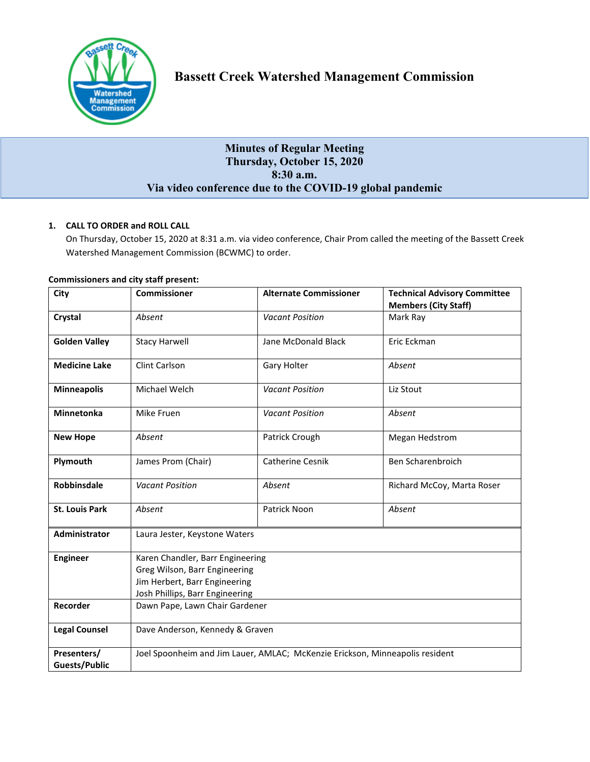

# **Minutes of Regular Meeting Thursday, October 15, 2020 8:30 a.m. Via video conference due to the COVID-19 global pandemic**

# **1. CALL TO ORDER and ROLL CALL**

On Thursday, October 15, 2020 at 8:31 a.m. via video conference, Chair Prom called the meeting of the Bassett Creek Watershed Management Commission (BCWMC) to order.

| City                  | <b>Commissioner</b>                                                                                                                   | <b>Alternate Commissioner</b> | <b>Technical Advisory Committee</b> |
|-----------------------|---------------------------------------------------------------------------------------------------------------------------------------|-------------------------------|-------------------------------------|
|                       |                                                                                                                                       |                               | <b>Members (City Staff)</b>         |
| Crystal               | Absent                                                                                                                                | <b>Vacant Position</b>        | Mark Ray                            |
| <b>Golden Valley</b>  | <b>Stacy Harwell</b>                                                                                                                  | Jane McDonald Black           | Eric Eckman                         |
| <b>Medicine Lake</b>  | Clint Carlson                                                                                                                         | Gary Holter                   | Absent                              |
| <b>Minneapolis</b>    | Michael Welch                                                                                                                         | <b>Vacant Position</b>        | Liz Stout                           |
| <b>Minnetonka</b>     | Mike Fruen                                                                                                                            | <b>Vacant Position</b>        | Absent                              |
| <b>New Hope</b>       | Absent                                                                                                                                | Patrick Crough                | Megan Hedstrom                      |
| Plymouth              | James Prom (Chair)                                                                                                                    | <b>Catherine Cesnik</b>       | Ben Scharenbroich                   |
| <b>Robbinsdale</b>    | <b>Vacant Position</b>                                                                                                                | Absent                        | Richard McCoy, Marta Roser          |
| <b>St. Louis Park</b> | Absent                                                                                                                                | Patrick Noon                  | Absent                              |
| Administrator         | Laura Jester, Keystone Waters                                                                                                         |                               |                                     |
| <b>Engineer</b>       | Karen Chandler, Barr Engineering<br>Greg Wilson, Barr Engineering<br>Jim Herbert, Barr Engineering<br>Josh Phillips, Barr Engineering |                               |                                     |
|                       |                                                                                                                                       |                               |                                     |
|                       |                                                                                                                                       |                               |                                     |
|                       |                                                                                                                                       |                               |                                     |
| Recorder              | Dawn Pape, Lawn Chair Gardener                                                                                                        |                               |                                     |
| <b>Legal Counsel</b>  | Dave Anderson, Kennedy & Graven                                                                                                       |                               |                                     |
| Presenters/           | Joel Spoonheim and Jim Lauer, AMLAC; McKenzie Erickson, Minneapolis resident                                                          |                               |                                     |
| <b>Guests/Public</b>  |                                                                                                                                       |                               |                                     |

# **Commissioners and city staff present:**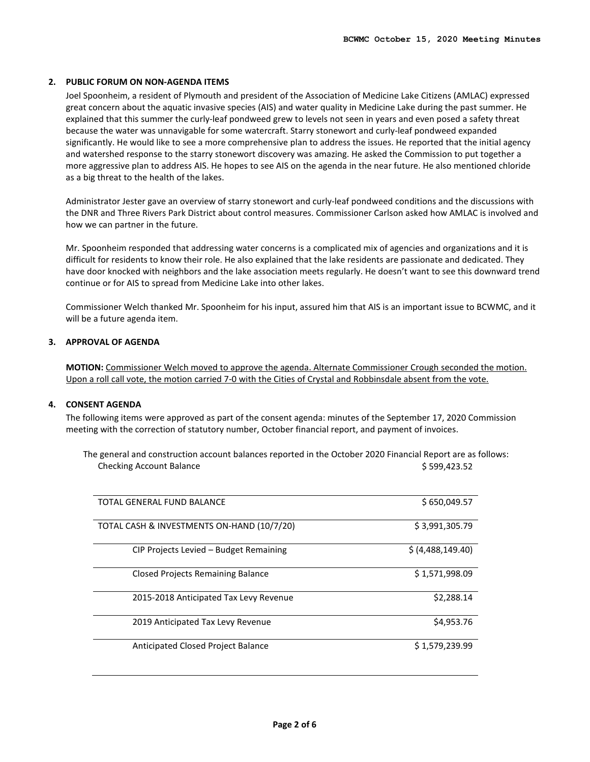# **2. PUBLIC FORUM ON NON-AGENDA ITEMS**

Joel Spoonheim, a resident of Plymouth and president of the Association of Medicine Lake Citizens (AMLAC) expressed great concern about the aquatic invasive species (AIS) and water quality in Medicine Lake during the past summer. He explained that this summer the curly-leaf pondweed grew to levels not seen in years and even posed a safety threat because the water was unnavigable for some watercraft. Starry stonewort and curly-leaf pondweed expanded significantly. He would like to see a more comprehensive plan to address the issues. He reported that the initial agency and watershed response to the starry stonewort discovery was amazing. He asked the Commission to put together a more aggressive plan to address AIS. He hopes to see AIS on the agenda in the near future. He also mentioned chloride as a big threat to the health of the lakes.

Administrator Jester gave an overview of starry stonewort and curly-leaf pondweed conditions and the discussions with the DNR and Three Rivers Park District about control measures. Commissioner Carlson asked how AMLAC is involved and how we can partner in the future.

Mr. Spoonheim responded that addressing water concerns is a complicated mix of agencies and organizations and it is difficult for residents to know their role. He also explained that the lake residents are passionate and dedicated. They have door knocked with neighbors and the lake association meets regularly. He doesn't want to see this downward trend continue or for AIS to spread from Medicine Lake into other lakes.

Commissioner Welch thanked Mr. Spoonheim for his input, assured him that AIS is an important issue to BCWMC, and it will be a future agenda item.

# **3. APPROVAL OF AGENDA**

**MOTION:** Commissioner Welch moved to approve the agenda. Alternate Commissioner Crough seconded the motion. Upon a roll call vote, the motion carried 7-0 with the Cities of Crystal and Robbinsdale absent from the vote.

#### **4. CONSENT AGENDA**

The following items were approved as part of the consent agenda: minutes of the September 17, 2020 Commission meeting with the correction of statutory number, October financial report, and payment of invoices.

The general and construction account balances reported in the October 2020 Financial Report are as follows: Checking Account Balance **\$ 599,423.52** 

| TOTAL GENERAL FUND BALANCE                 | \$650,049.57      |
|--------------------------------------------|-------------------|
| TOTAL CASH & INVESTMENTS ON-HAND (10/7/20) | \$3,991,305.79    |
| CIP Projects Levied – Budget Remaining     | \$ (4,488,149.40) |
| Closed Projects Remaining Balance          | \$1,571,998.09    |
| 2015-2018 Anticipated Tax Levy Revenue     | \$2,288.14        |
| 2019 Anticipated Tax Levy Revenue          | \$4,953.76        |
| Anticipated Closed Project Balance         | \$1,579,239.99    |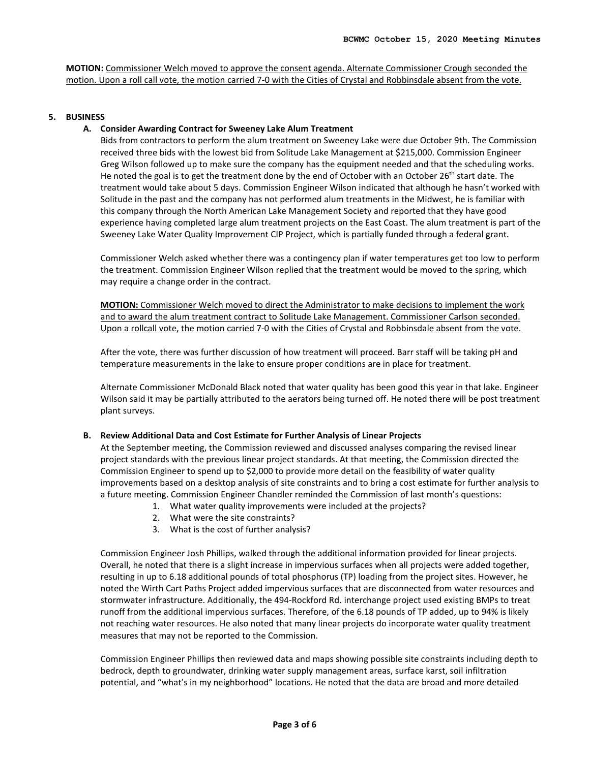**MOTION:** Commissioner Welch moved to approve the consent agenda. Alternate Commissioner Crough seconded the motion. Upon a roll call vote, the motion carried 7-0 with the Cities of Crystal and Robbinsdale absent from the vote.

# **5. BUSINESS**

# **A. Consider Awarding Contract for Sweeney Lake Alum Treatment**

Bids from contractors to perform the alum treatment on Sweeney Lake were due October 9th. The Commission received three bids with the lowest bid from Solitude Lake Management at \$215,000. Commission Engineer Greg Wilson followed up to make sure the company has the equipment needed and that the scheduling works. He noted the goal is to get the treatment done by the end of October with an October 26<sup>th</sup> start date. The treatment would take about 5 days. Commission Engineer Wilson indicated that although he hasn't worked with Solitude in the past and the company has not performed alum treatments in the Midwest, he is familiar with this company through the North American Lake Management Society and reported that they have good experience having completed large alum treatment projects on the East Coast. The alum treatment is part of the Sweeney Lake Water Quality Improvement CIP Project, which is partially funded through a federal grant.

Commissioner Welch asked whether there was a contingency plan if water temperatures get too low to perform the treatment. Commission Engineer Wilson replied that the treatment would be moved to the spring, which may require a change order in the contract.

**MOTION:** Commissioner Welch moved to direct the Administrator to make decisions to implement the work and to award the alum treatment contract to Solitude Lake Management. Commissioner Carlson seconded. Upon a rollcall vote, the motion carried 7-0 with the Cities of Crystal and Robbinsdale absent from the vote.

After the vote, there was further discussion of how treatment will proceed. Barr staff will be taking pH and temperature measurements in the lake to ensure proper conditions are in place for treatment.

Alternate Commissioner McDonald Black noted that water quality has been good this year in that lake. Engineer Wilson said it may be partially attributed to the aerators being turned off. He noted there will be post treatment plant surveys.

#### **B. Review Additional Data and Cost Estimate for Further Analysis of Linear Projects**

At the September meeting, the Commission reviewed and discussed analyses comparing the revised linear project standards with the previous linear project standards. At that meeting, the Commission directed the Commission Engineer to spend up to \$2,000 to provide more detail on the feasibility of water quality improvements based on a desktop analysis of site constraints and to bring a cost estimate for further analysis to a future meeting. Commission Engineer Chandler reminded the Commission of last month's questions:

- 1. What water quality improvements were included at the projects?
	- 2. What were the site constraints?
	- 3. What is the cost of further analysis?

Commission Engineer Josh Phillips, walked through the additional information provided for linear projects. Overall, he noted that there is a slight increase in impervious surfaces when all projects were added together, resulting in up to 6.18 additional pounds of total phosphorus (TP) loading from the project sites. However, he noted the Wirth Cart Paths Project added impervious surfaces that are disconnected from water resources and stormwater infrastructure. Additionally, the 494-Rockford Rd. interchange project used existing BMPs to treat runoff from the additional impervious surfaces. Therefore, of the 6.18 pounds of TP added, up to 94% is likely not reaching water resources. He also noted that many linear projects do incorporate water quality treatment measures that may not be reported to the Commission.

Commission Engineer Phillips then reviewed data and maps showing possible site constraints including depth to bedrock, depth to groundwater, drinking water supply management areas, surface karst, soil infiltration potential, and "what's in my neighborhood" locations. He noted that the data are broad and more detailed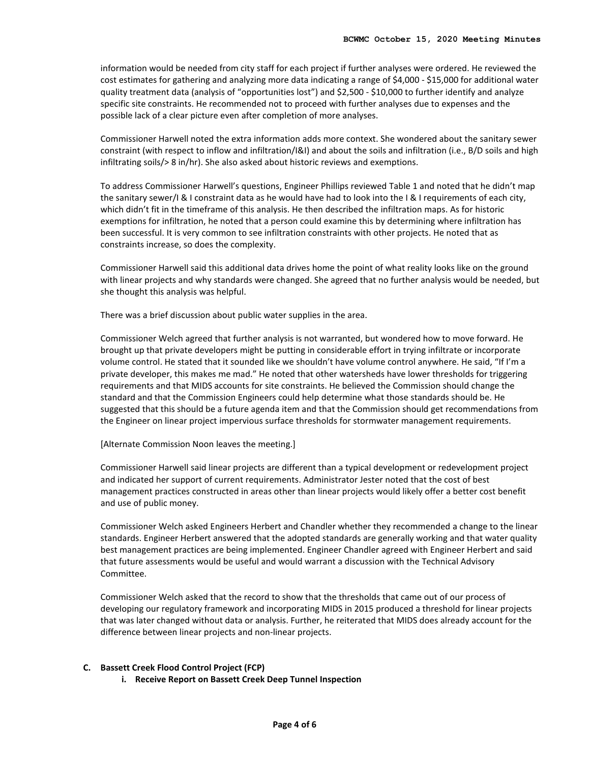information would be needed from city staff for each project if further analyses were ordered. He reviewed the cost estimates for gathering and analyzing more data indicating a range of \$4,000 - \$15,000 for additional water quality treatment data (analysis of "opportunities lost") and \$2,500 - \$10,000 to further identify and analyze specific site constraints. He recommended not to proceed with further analyses due to expenses and the possible lack of a clear picture even after completion of more analyses.

Commissioner Harwell noted the extra information adds more context. She wondered about the sanitary sewer constraint (with respect to inflow and infiltration/I&I) and about the soils and infiltration (i.e., B/D soils and high infiltrating soils/> 8 in/hr). She also asked about historic reviews and exemptions.

To address Commissioner Harwell's questions, Engineer Phillips reviewed Table 1 and noted that he didn't map the sanitary sewer/I & I constraint data as he would have had to look into the I & I requirements of each city, which didn't fit in the timeframe of this analysis. He then described the infiltration maps. As for historic exemptions for infiltration, he noted that a person could examine this by determining where infiltration has been successful. It is very common to see infiltration constraints with other projects. He noted that as constraints increase, so does the complexity.

Commissioner Harwell said this additional data drives home the point of what reality looks like on the ground with linear projects and why standards were changed. She agreed that no further analysis would be needed, but she thought this analysis was helpful.

There was a brief discussion about public water supplies in the area.

Commissioner Welch agreed that further analysis is not warranted, but wondered how to move forward. He brought up that private developers might be putting in considerable effort in trying infiltrate or incorporate volume control. He stated that it sounded like we shouldn't have volume control anywhere. He said, "If I'm a private developer, this makes me mad." He noted that other watersheds have lower thresholds for triggering requirements and that MIDS accounts for site constraints. He believed the Commission should change the standard and that the Commission Engineers could help determine what those standards should be. He suggested that this should be a future agenda item and that the Commission should get recommendations from the Engineer on linear project impervious surface thresholds for stormwater management requirements.

[Alternate Commission Noon leaves the meeting.]

Commissioner Harwell said linear projects are different than a typical development or redevelopment project and indicated her support of current requirements. Administrator Jester noted that the cost of best management practices constructed in areas other than linear projects would likely offer a better cost benefit and use of public money.

Commissioner Welch asked Engineers Herbert and Chandler whether they recommended a change to the linear standards. Engineer Herbert answered that the adopted standards are generally working and that water quality best management practices are being implemented. Engineer Chandler agreed with Engineer Herbert and said that future assessments would be useful and would warrant a discussion with the Technical Advisory Committee.

Commissioner Welch asked that the record to show that the thresholds that came out of our process of developing our regulatory framework and incorporating MIDS in 2015 produced a threshold for linear projects that was later changed without data or analysis. Further, he reiterated that MIDS does already account for the difference between linear projects and non-linear projects.

#### **C. Bassett Creek Flood Control Project (FCP)**

**i. Receive Report on Bassett Creek Deep Tunnel Inspection**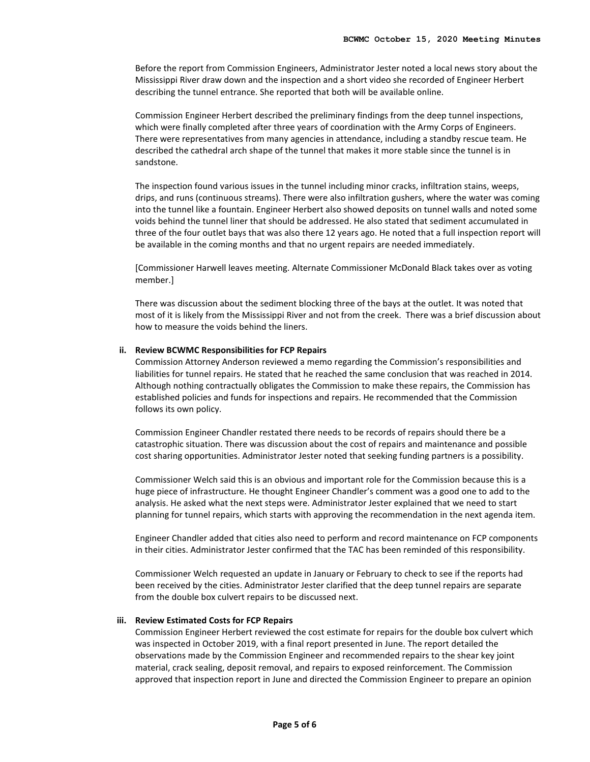Before the report from Commission Engineers, Administrator Jester noted a local news story about the Mississippi River draw down and the inspection and a short video she recorded of Engineer Herbert describing the tunnel entrance. She reported that both will be available online.

Commission Engineer Herbert described the preliminary findings from the deep tunnel inspections, which were finally completed after three years of coordination with the Army Corps of Engineers. There were representatives from many agencies in attendance, including a standby rescue team. He described the cathedral arch shape of the tunnel that makes it more stable since the tunnel is in sandstone.

The inspection found various issues in the tunnel including minor cracks, infiltration stains, weeps, drips, and runs (continuous streams). There were also infiltration gushers, where the water was coming into the tunnel like a fountain. Engineer Herbert also showed deposits on tunnel walls and noted some voids behind the tunnel liner that should be addressed. He also stated that sediment accumulated in three of the four outlet bays that was also there 12 years ago. He noted that a full inspection report will be available in the coming months and that no urgent repairs are needed immediately.

[Commissioner Harwell leaves meeting. Alternate Commissioner McDonald Black takes over as voting member.]

There was discussion about the sediment blocking three of the bays at the outlet. It was noted that most of it is likely from the Mississippi River and not from the creek. There was a brief discussion about how to measure the voids behind the liners.

#### **ii. Review BCWMC Responsibilities for FCP Repairs**

Commission Attorney Anderson reviewed a memo regarding the Commission's responsibilities and liabilities for tunnel repairs. He stated that he reached the same conclusion that was reached in 2014. Although nothing contractually obligates the Commission to make these repairs, the Commission has established policies and funds for inspections and repairs. He recommended that the Commission follows its own policy.

Commission Engineer Chandler restated there needs to be records of repairs should there be a catastrophic situation. There was discussion about the cost of repairs and maintenance and possible cost sharing opportunities. Administrator Jester noted that seeking funding partners is a possibility.

Commissioner Welch said this is an obvious and important role for the Commission because this is a huge piece of infrastructure. He thought Engineer Chandler's comment was a good one to add to the analysis. He asked what the next steps were. Administrator Jester explained that we need to start planning for tunnel repairs, which starts with approving the recommendation in the next agenda item.

Engineer Chandler added that cities also need to perform and record maintenance on FCP components in their cities. Administrator Jester confirmed that the TAC has been reminded of this responsibility.

Commissioner Welch requested an update in January or February to check to see if the reports had been received by the cities. Administrator Jester clarified that the deep tunnel repairs are separate from the double box culvert repairs to be discussed next.

#### **iii. Review Estimated Costs for FCP Repairs**

Commission Engineer Herbert reviewed the cost estimate for repairs for the double box culvert which was inspected in October 2019, with a final report presented in June. The report detailed the observations made by the Commission Engineer and recommended repairs to the shear key joint material, crack sealing, deposit removal, and repairs to exposed reinforcement. The Commission approved that inspection report in June and directed the Commission Engineer to prepare an opinion